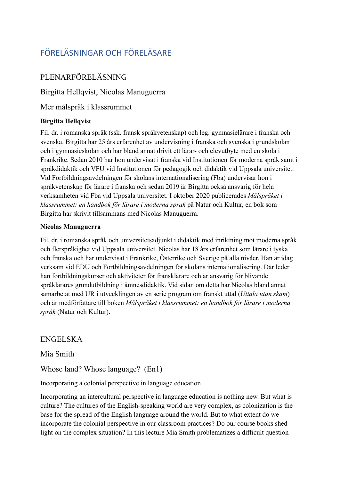# FÖRELÄSNINGAR OCH FÖRELÄSARE

## PLENARFÖRELÄSNING

Birgitta Hellqvist, Nicolas Manuguerra

Mer målspråk i klassrummet

#### **Birgitta Hellqvist**

Fil. dr. i romanska språk (ssk. fransk språkvetenskap) och leg. gymnasielärare i franska och svenska. Birgitta har 25 års erfarenhet av undervisning i franska och svenska i grundskolan och i gymnasieskolan och har bland annat drivit ett lärar- och elevutbyte med en skola i Frankrike. Sedan 2010 har hon undervisat i franska vid Institutionen för moderna språk samt i språkdidaktik och VFU vid Institutionen för pedagogik och didaktik vid Uppsala universitet. Vid Fortbildningsavdelningen för skolans internationalisering (Fba) undervisar hon i språkvetenskap för lärare i franska och sedan 2019 är Birgitta också ansvarig för hela verksamheten vid Fba vid Uppsala universitet. I oktober 2020 publicerades *Målspråket i klassrummet: en handbok för lärare i moderna språk* på Natur och Kultur, en bok som Birgitta har skrivit tillsammans med Nicolas Manuguerra.

#### **Nicolas Manuguerra**

Fil. dr. i romanska språk och universitetsadjunkt i didaktik med inriktning mot moderna språk och flerspråkighet vid Uppsala universitet. Nicolas har 18 års erfarenhet som lärare i tyska och franska och har undervisat i Frankrike, Österrike och Sverige på alla nivåer. Han är idag verksam vid EDU och Fortbildningsavdelningen för skolans internationalisering. Där leder han fortbildningskurser och aktiviteter för fransklärare och är ansvarig för blivande språklärares grundutbildning i ämnesdidaktik. Vid sidan om detta har Nicolas bland annat samarbetat med UR i utvecklingen av en serie program om franskt uttal (*Uttala utan skam*) och är medförfattare till boken *Målspråket i klassrummet: en handbok för lärare i moderna språk* (Natur och Kultur).

### ENGELSKA

### Mia Smith

Whose land? Whose language? (En1)

#### Incorporating a colonial perspective in language education

Incorporating an intercultural perspective in language education is nothing new. But what is culture? The cultures of the English-speaking world are very complex, as colonization is the base for the spread of the English language around the world. But to what extent do we incorporate the colonial perspective in our classroom practices? Do our course books shed light on the complex situation? In this lecture Mia Smith problematizes a difficult question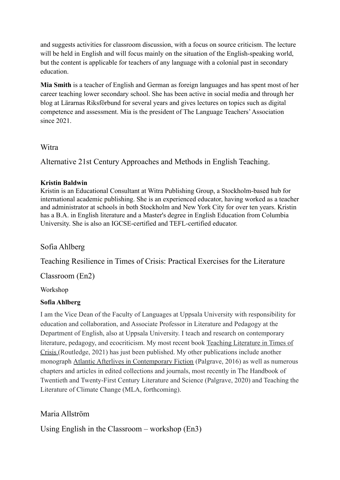and suggests activities for classroom discussion, with a focus on source criticism. The lecture will be held in English and will focus mainly on the situation of the English-speaking world, but the content is applicable for teachers of any language with a colonial past in secondary education.

**Mia Smith** is a teacher of English and German as foreign languages and has spent most of her career teaching lower secondary school. She has been active in social media and through her blog at Lärarnas Riksförbund for several years and gives lectures on topics such as digital competence and assessment. Mia is the president of The Language Teachers'Association since 2021.

#### **Witra**

Alternative 21st Century Approaches and Methods in English Teaching.

#### **Kristin Baldwin**

Kristin is an Educational Consultant at Witra Publishing Group, a Stockholm-based hub for international academic publishing. She is an experienced educator, having worked as a teacher and administrator at schools in both Stockholm and New York City for over ten years. Kristin has a B.A. in English literature and a Master's degree in English Education from Columbia University. She is also an IGCSE-certified and TEFL-certified educator.

### Sofia Ahlberg

Teaching Resilience in Times of Crisis: Practical Exercises for the Literature

Classroom (En2)

Workshop

### **Sofia Ahlberg**

I am the Vice Dean of the Faculty of Languages at Uppsala University with responsibility for education and collaboration, and Associate Professor in Literature and Pedagogy at the Department of English, also at Uppsala University. I teach and research on contemporary literature, pedagogy, and ecocriticism. My most recent book [Teaching Literature in Times of](https://www.routledge.com/blog/article/from-solitary-reading-to-collaborative-action-improvisation-for-the-literat) [Crisis](https://www.routledge.com/blog/article/from-solitary-reading-to-collaborative-action-improvisation-for-the-literat) (Routledge, 2021) has just been published. My other publications include another monograph [Atlantic Afterlives in Contemporary Fiction](https://www.palgrave.com/gp/book/9781137479211%252523reviews) (Palgrave, 2016) as well as numerous chapters and articles in edited collections and journals, most recently in The Handbook of Twentieth and Twenty-First Century Literature and Science (Palgrave, 2020) and Teaching the Literature of Climate Change (MLA, forthcoming).

### Maria Allström

Using English in the Classroom – workshop (En3)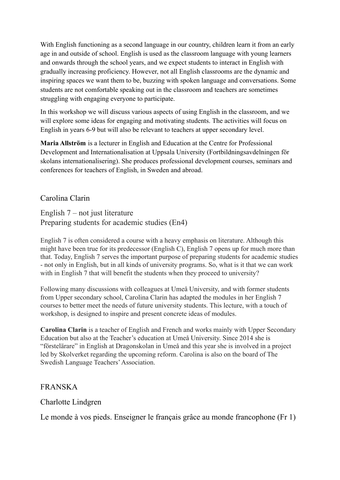With English functioning as a second language in our country, children learn it from an early age in and outside of school. English is used as the classroom language with young learners and onwards through the school years, and we expect students to interact in English with gradually increasing proficiency. However, not all English classrooms are the dynamic and inspiring spaces we want them to be, buzzing with spoken language and conversations. Some students are not comfortable speaking out in the classroom and teachers are sometimes struggling with engaging everyone to participate.

In this workshop we will discuss various aspects of using English in the classroom, and we will explore some ideas for engaging and motivating students. The activities will focus on English in years 6-9 but will also be relevant to teachers at upper secondary level.

**Maria Allström** is a lecturer in English and Education at the Centre for Professional Development and Internationalisation at Uppsala University (Fortbildningsavdelningen för skolans internationalisering). She produces professional development courses, seminars and conferences for teachers of English, in Sweden and abroad.

### Carolina Clarin

English 7 – not just literature Preparing students for academic studies (En4)

English 7 is often considered a course with a heavy emphasis on literature. Although this might have been true for its predecessor (English C), English 7 opens up for much more than that. Today, English 7 serves the important purpose of preparing students for academic studies - not only in English, but in all kinds of university programs. So, what is it that we can work with in English 7 that will benefit the students when they proceed to university?

Following many discussions with colleagues at Umeå University, and with former students from Upper secondary school, Carolina Clarin has adapted the modules in her English 7 courses to better meet the needs of future university students. This lecture, with a touch of workshop, is designed to inspire and present concrete ideas of modules.

**Carolina Clarin** is a teacher of English and French and works mainly with Upper Secondary Education but also at the Teacher's education at Umeå University. Since 2014 she is "förstelärare" in English at Dragonskolan in Umeå and this year she is involved in a project led by Skolverket regarding the upcoming reform. Carolina is also on the board of The Swedish Language Teachers'Association.

### FRANSKA

### Charlotte Lindgren

Le monde à vos pieds. Enseigner le français grâce au monde francophone (Fr 1)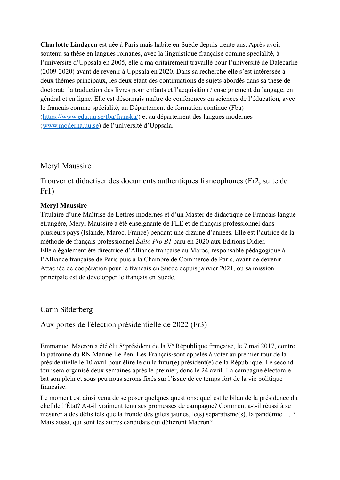**Charlotte Lindgren** est née à Paris mais habite en Suède depuis trente ans. Après avoir soutenu sa thèse en langues romanes, avec la linguistique française comme spécialité, à l'université d'Uppsala en 2005, elle a majoritairement travaillé pour l'université de Dalécarlie (2009-2020) avant de revenir à Uppsala en 2020. Dans sa recherche elle s'est intéressée à deux thèmes principaux, les deux étant des continuations de sujets abordés dans sa thèse de doctorat: la traduction des livres pour enfants et l'acquisition / enseignement du langage, en général et en ligne. Elle est désormais maître de conférences en sciences de l'éducation, avec le français comme spécialité, au Département de formation continue (Fba) (<https://www.edu.uu.se/fba/franska/>) et au département des langues modernes ([www.moderna.uu.se](http://www.moderna.uu.se)) de l'université d'Uppsala.

#### Meryl Maussire

Trouver et didactiser des documents authentiques francophones (Fr2, suite de Fr1)

#### **Meryl Maussire**

Titulaire d'une Maîtrise de Lettres modernes et d'un Master de didactique de Français langue étrangère, Meryl Maussire a été enseignante de FLE et de français professionnel dans plusieurs pays (Islande, Maroc, France) pendant une dizaine d'années. Elle est l'autrice de la méthode de français professionnel *Édito Pro B1* paru en 2020 aux Editions Didier. Elle a également été directrice d'Alliance française au Maroc, responsable pédagogique à l'Alliance française de Paris puis à la Chambre de Commerce de Paris, avant de devenir Attachée de coopération pour le français en Suède depuis janvier 2021, où sa mission principale est de développer le français en Suède.

Carin Söderberg

Aux portes de l'élection présidentielle de 2022 (Fr3)

Emmanuel Macron a été élu 8<sup>e</sup> président de la V<sup>e</sup> République française, le 7 mai 2017, contre la patronne du RN Marine Le Pen. Les Français·sont appelés à voter au premier tour de la présidentielle le 10 avril pour élire le ou la futur(e) président(e) de la République. Le second tour sera organisé deux semaines après le premier, donc le 24 avril. La campagne électorale bat son plein et sous peu nous serons fixés sur l'issue de ce temps fort de la vie politique française.

Le moment est ainsi venu de se poser quelques questions: quel est le bilan de la présidence du chef de l'État? A-t-il vraiment tenu ses promesses de campagne? Comment a-t-il réussi à se mesurer à des défis tels que la fronde des gilets jaunes, le(s) séparatisme(s), la pandémie … ? Mais aussi, qui sont les autres candidats qui défieront Macron?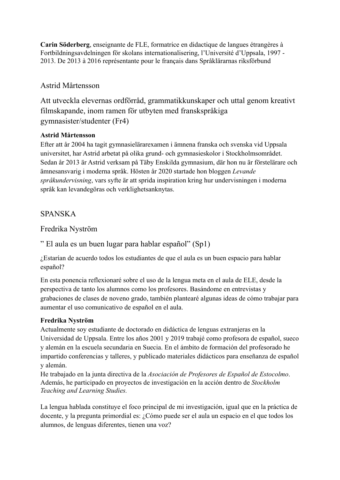**Carin Söderberg**, enseignante de FLE, formatrice en didactique de langues étrangères à Fortbildningsavdelningen för skolans internationalisering, l'Université d'Uppsala, 1997 - 2013. De 2013 à 2016 représentante pour le français dans Språklärarnas riksförbund

### Astrid Mårtensson

Att utveckla elevernas ordförråd, grammatikkunskaper och uttal genom kreativt filmskapande, inom ramen för utbyten med franskspråkiga gymnasister/studenter (Fr4)

#### **Astrid Mårtensson**

Efter att år 2004 ha tagit gymnasielärarexamen i ämnena franska och svenska vid Uppsala universitet, har Astrid arbetat på olika grund- och gymnasieskolor i Stockholmsområdet. Sedan år 2013 är Astrid verksam på Täby Enskilda gymnasium, där hon nu är förstelärare och ämnesansvarig i moderna språk. Hösten år 2020 startade hon bloggen *Levande språkundervisning*, vars syfte är att sprida inspiration kring hur undervisningen i moderna språk kan levandegöras och verklighetsanknytas.

### SPANSKA

Fredrika Nyström

" El aula es un buen lugar para hablar español" (Sp1)

¿Estarían de acuerdo todos los estudiantes de que el aula es un buen espacio para hablar español?

En esta ponencia reflexionaré sobre el uso de la lengua meta en el aula de ELE, desde la perspectiva de tanto los alumnos como los profesores. Basándome en entrevistas y grabaciones de clases de noveno grado, también plantearé algunas ideas de cómo trabajar para aumentar el uso comunicativo de español en el aula.

### **Fredrika Nyström**

Actualmente soy estudiante de doctorado en didáctica de lenguas extranjeras en la Universidad de Uppsala. Entre los años 2001 y 2019 trabajé como profesora de español, sueco y alemán en la escuela secundaria en Suecia. En el ámbito de formación del profesorado he impartido conferencias y talleres, y publicado materiales didácticos para enseñanza de español y alemán.

He trabajado en la junta directiva de la *Asociación de Profesores de Español de Estocolmo*. Además, he participado en proyectos de investigación en la acción dentro de *Stockholm Teaching and Learning Studies.*

La lengua hablada constituye el foco principal de mi investigación, igual que en la práctica de docente, y la pregunta primordial es: ¿Cómo puede ser el aula un espacio en el que todos los alumnos, de lenguas diferentes, tienen una voz?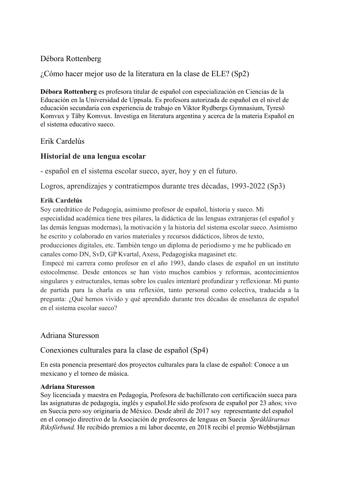### Débora Rottenberg

¿Cómo hacer mejor uso de la literatura en la clase de ELE? (Sp2)

**Débora Rottenberg** es profesora titular de español con especialización en Ciencias de la Educación en la Universidad de Uppsala. Es profesora autorizada de español en el nivel de educación secundaria con experiencia de trabajo en Viktor Rydbergs Gymnasium, Tyresö Komvux y Täby Komvux. Investiga en literatura argentina y acerca de la materia Español en el sistema educativo sueco.

### Erik Cardelús

### **Historial de una lengua escolar**

- español en el sistema escolar sueco, ayer, hoy y en el futuro.

Logros, aprendizajes y contratiempos durante tres décadas, 1993-2022 (Sp3)

#### **Erik Cardelús**

Soy catedrático de Pedagogía, asimismo profesor de español, historia y sueco. Mi especialidad académica tiene tres pilares, la didáctica de las lenguas extranjeras (el español y las demás lenguas modernas), la motivación y la historia del sistema escolar sueco. Asimismo he escrito y colaborado en varios materiales y recursos didácticos, libros de texto,

producciones digitales, etc. También tengo un diploma de periodismo y me he publicado en canales como DN, SvD, GP Kvartal, Axess, Pedagogiska magasinet etc.

Empecé mi carrera como profesor en el año 1993, dando clases de español en un instituto estocolmense. Desde entonces se han visto muchos cambios y reformas, acontecimientos singulares y estructurales, temas sobre los cuales intentaré profundizar y reflexionar. Mi punto de partida para la charla es una reflexión, tanto personal como colectiva, traducida a la pregunta: ¿Qué hemos vivido y qué aprendido durante tres décadas de enseñanza de español en el sistema escolar sueco?

### Adriana Sturesson

### Conexiones culturales para la clase de español (Sp4)

En esta ponencia presentaré dos proyectos culturales para la clase de español: Conoce a un mexicano y el torneo de música.

#### **Adriana Sturesson**

Soy licenciada y maestra en Pedagogía, Profesora de bachillerato con certificación sueca para las asignaturas de pedagogía, inglés y español.He sido profesora de español por 23 años; vivo en Suecia pero soy originaria de México. Desde abril de 2017 soy representante del español en el consejo directivo de la Asociación de profesores de lenguas en Suecia *[Språklärarnas](http://www.spraklararna.se/) [Riksförbund.](http://www.spraklararna.se/)* He recibido premios a mi labor docente, en 2018 recibí el premio Webbstjärnan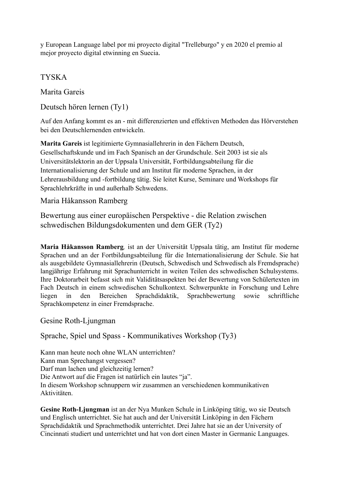y European Language label por mi proyecto digital "Trelleburgo" y en 2020 el premio al mejor proyecto digital etwinning en Suecia.

TYSKA

Marita Gareis

Deutsch hören lernen (Ty1)

Auf den Anfang kommt es an - mit differenzierten und effektiven Methoden das Hörverstehen bei den Deutschlernenden entwickeln.

**Marita Gareis** ist legitimierte Gymnasiallehrerin in den Fächern Deutsch, Gesellschaftskunde und im Fach Spanisch an der Grundschule. Seit 2003 ist sie als Universitätslektorin an der Uppsala Universität, Fortbildungsabteilung für die Internationalisierung der Schule und am Institut für moderne Sprachen, in der Lehrerausbildung und -fortbildung tätig. Sie leitet Kurse, Seminare und Workshops für Sprachlehrkräfte in und außerhalb Schwedens.

Maria Håkansson Ramberg

Bewertung aus einer europäischen Perspektive - die Relation zwischen schwedischen Bildungsdokumenten und dem GER (Ty2)

**Maria Håkansson Ramberg***,* ist an der Universität Uppsala tätig, am Institut für moderne Sprachen und an der Fortbildungsabteilung für die Internationalisierung der Schule. Sie hat als ausgebildete Gymnasiallehrerin (Deutsch, Schwedisch und Schwedisch als Fremdsprache) langjährige Erfahrung mit Sprachunterricht in weiten Teilen des schwedischen Schulsystems. Ihre Doktorarbeit befasst sich mit Validitätsaspekten bei der Bewertung von Schülertexten im Fach Deutsch in einem schwedischen Schulkontext. Schwerpunkte in Forschung und Lehre liegen in den Bereichen Sprachdidaktik, Sprachbewertung sowie schriftliche Sprachkompetenz in einer Fremdsprache.

Gesine Roth-Ljungman

Sprache, Spiel und Spass - Kommunikatives Workshop (Ty3)

Kann man heute noch ohne WLAN unterrichten? Kann man Sprechangst vergessen? Darf man lachen und gleichzeitig lernen? Die Antwort auf die Fragen ist natürlich ein lautes "ja". In diesem Workshop schnuppern wir zusammen an verschiedenen kommunikativen Aktivitäten.

**Gesine Roth-Ljungman** ist an der Nya Munken Schule in Linköping tätig, wo sie Deutsch und Englisch unterrichtet. Sie hat auch and der Universität Linköping in den Fächern Sprachdidaktik und Sprachmethodik unterrichtet. Drei Jahre hat sie an der University of Cincinnati studiert und unterrichtet und hat von dort einen Master in Germanic Languages.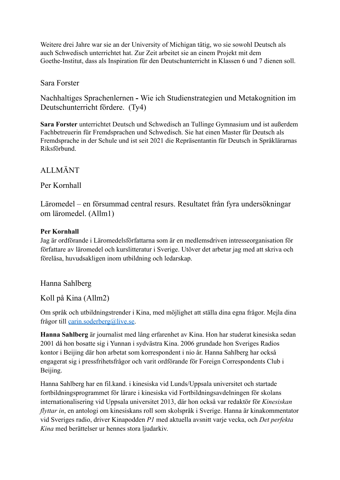Weitere drei Jahre war sie an der University of Michigan tätig, wo sie sowohl Deutsch als auch Schwedisch unterrichtet hat. Zur Zeit arbeitet sie an einem Projekt mit dem Goethe-Institut, dass als Inspiration für den Deutschunterricht in Klassen 6 und 7 dienen soll.

### Sara Forster

Nachhaltiges Sprachenlernen **-** Wie ich Studienstrategien und Metakognition im Deutschunterricht fördere. (Ty4)

**Sara Forster** unterrichtet Deutsch und Schwedisch an Tullinge Gymnasium und ist außerdem Fachbetreuerin für Fremdsprachen und Schwedisch. Sie hat einen Master für Deutsch als Fremdsprache in der Schule und ist seit 2021 die Repräsentantin für Deutsch in Språklärarnas Riksförbund.

### ALLMÄNT

#### Per Kornhall

Läromedel – en försummad central resurs. Resultatet från fyra undersökningar om läromedel. (Allm1)

#### **Per Kornhall**

Jag är ordförande i Läromedelsförfattarna som är en medlemsdriven intresseorganisation för författare av läromedel och kurslitteratur i Sverige. Utöver det arbetar jag med att skriva och föreläsa, huvudsakligen inom utbildning och ledarskap.

### Hanna Sahlberg

#### Koll på Kina (Allm2)

Om språk och utbildningstrender i Kina, med möjlighet att ställa dina egna frågor. Mejla dina frågor till [carin.soderberg@live.se.](mailto:carin.soderberg@live.se)

**Hanna Sahlberg** är journalist med lång erfarenhet av Kina. Hon har studerat kinesiska sedan 2001 då hon bosatte sig i Yunnan i sydvästra Kina. 2006 grundade hon Sveriges Radios kontor i Beijing där hon arbetat som korrespondent i nio år. Hanna Sahlberg har också engagerat sig i pressfrihetsfrågor och varit ordförande för Foreign Correspondents Club i Beijing.

Hanna Sahlberg har en fil.kand. i kinesiska vid Lunds/Uppsala universitet och startade fortbildningsprogrammet för lärare i kinesiska vid Fortbildningsavdelningen för skolans internationalisering vid Uppsala universitet 2013, där hon också var redaktör för *Kinesiskan flyttar in*, en antologi om kinesiskans roll som skolspråk i Sverige. Hanna är kinakommentator vid Sveriges radio, driver Kinapodden *P1* med aktuella avsnitt varje vecka, och *Det perfekta Kina* med berättelser ur hennes stora ljudarkiv.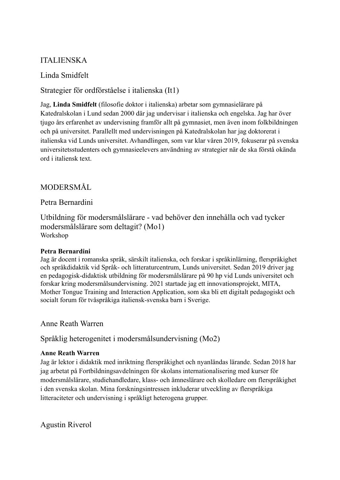### ITALIENSKA

Linda Smidfelt

Strategier för ordförståelse i italienska (It1)

Jag, **Linda Smidfelt** (filosofie doktor i italienska) arbetar som gymnasielärare på Katedralskolan i Lund sedan 2000 där jag undervisar i italienska och engelska. Jag har över tjugo års erfarenhet av undervisning framför allt på gymnasiet, men även inom folkbildningen och på universitet. Parallellt med undervisningen på Katedralskolan har jag doktorerat i italienska vid Lunds universitet. Avhandlingen, som var klar våren 2019, fokuserar på svenska universitetsstudenters och gymnasieelevers användning av strategier när de ska förstå okända ord i italiensk text.

# MODERSMÅL

### Petra Bernardini

Utbildning för modersmålslärare - vad behöver den innehålla och vad tycker modersmålslärare som deltagit? (Mo1) Workshop

#### **Petra Bernardini**

Jag är docent i romanska språk, särskilt italienska, och forskar i språkinlärning, flerspråkighet och språkdidaktik vid Språk- och litteraturcentrum, Lunds universitet. Sedan 2019 driver jag en pedagogisk-didaktisk utbildning för modersmålslärare på 90 hp vid Lunds universitet och forskar kring modersmålsundervisning. 2021 startade jag ett innovationsprojekt, MITA, Mother Tongue Training and Interaction Application, som ska bli ett digitalt pedagogiskt och socialt forum för tvåspråkiga italiensk-svenska barn i Sverige.

### Anne Reath Warren

Språklig heterogenitet i modersmålsundervisning (Mo2)

### **Anne Reath Warren**

Jag är lektor i didaktik med inriktning flerspråkighet och nyanländas lärande. Sedan 2018 har jag arbetat på Fortbildningsavdelningen för skolans internationalisering med kurser för modersmålslärare, studiehandledare, klass- och ämneslärare och skolledare om flerspråkighet i den svenska skolan. Mina forskningsintressen inkluderar utveckling av flerspråkiga litteraciteter och undervisning i språkligt heterogena grupper.

Agustin Riverol